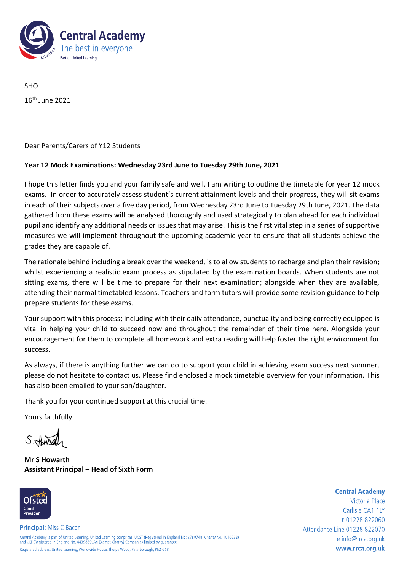

SHO 16 th June 2021

Dear Parents/Carers of Y12 Students

## **Year 12 Mock Examinations: Wednesday 23rd June to Tuesday 29th June, 2021**

I hope this letter finds you and your family safe and well. I am writing to outline the timetable for year 12 mock exams. In order to accurately assess student's current attainment levels and their progress, they will sit exams in each of their subjects over a five day period, from Wednesday 23rd June to Tuesday 29th June, 2021. The data gathered from these exams will be analysed thoroughly and used strategically to plan ahead for each individual pupil and identify any additional needs or issues that may arise. This is the first vital step in a series of supportive measures we will implement throughout the upcoming academic year to ensure that all students achieve the grades they are capable of.

The rationale behind including a break over the weekend, is to allow students to recharge and plan their revision; whilst experiencing a realistic exam process as stipulated by the examination boards. When students are not sitting exams, there will be time to prepare for their next examination; alongside when they are available, attending their normal timetabled lessons. Teachers and form tutors will provide some revision guidance to help prepare students for these exams.

Your support with this process; including with their daily attendance, punctuality and being correctly equipped is vital in helping your child to succeed now and throughout the remainder of their time here. Alongside your encouragement for them to complete all homework and extra reading will help foster the right environment for success.

As always, if there is anything further we can do to support your child in achieving exam success next summer, please do not hesitate to contact us. Please find enclosed a mock timetable overview for your information. This has also been emailed to your son/daughter.

Thank you for your continued support at this crucial time.

Yours faithfully

Sittense

**Mr S Howarth Assistant Principal – Head of Sixth Form**



Victoria Place Carlisle CA1 1IY t 01228 822060 Attendance Line 01228 822070 e info@rrca.org.uk www.rrca.org.uk

**Central Academy**